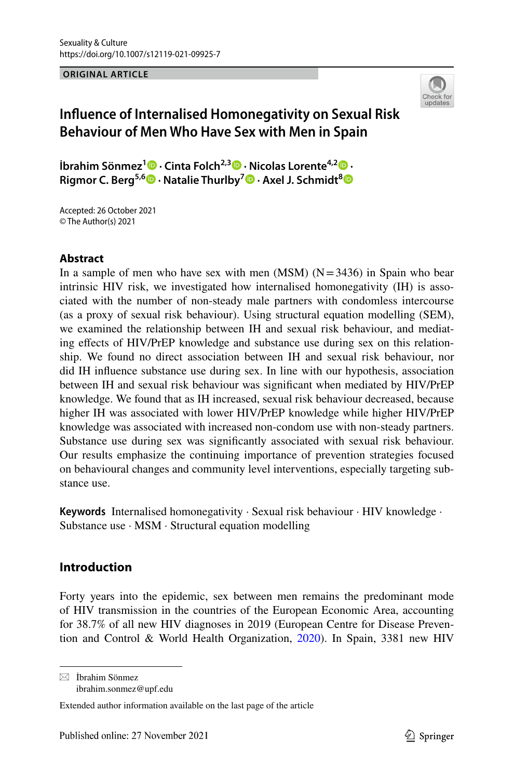**ORIGINAL ARTICLE**



# **Infuence of Internalised Homonegativity on Sexual Risk Behaviour of Men Who Have Sex with Men in Spain**

**İbrahim Sönmez1 · Cinta Folch2,3  [·](http://orcid.org/0000-0001-8400-2668) Nicolas Lorente4,2  [·](http://orcid.org/0000-0002-5320-1493) Rigmor C. Berg5,6 · Natalie Thurlby7 · Axel J. Schmidt[8](http://orcid.org/0000-0002-6910-4399)**

Accepted: 26 October 2021 © The Author(s) 2021

# **Abstract**

In a sample of men who have sex with men  $(MSM)$   $(N=3436)$  in Spain who bear intrinsic HIV risk, we investigated how internalised homonegativity (IH) is associated with the number of non-steady male partners with condomless intercourse (as a proxy of sexual risk behaviour). Using structural equation modelling (SEM), we examined the relationship between IH and sexual risk behaviour, and mediating efects of HIV/PrEP knowledge and substance use during sex on this relationship. We found no direct association between IH and sexual risk behaviour, nor did IH infuence substance use during sex. In line with our hypothesis, association between IH and sexual risk behaviour was signifcant when mediated by HIV/PrEP knowledge. We found that as IH increased, sexual risk behaviour decreased, because higher IH was associated with lower HIV/PrEP knowledge while higher HIV/PrEP knowledge was associated with increased non-condom use with non-steady partners. Substance use during sex was signifcantly associated with sexual risk behaviour. Our results emphasize the continuing importance of prevention strategies focused on behavioural changes and community level interventions, especially targeting substance use.

**Keywords** Internalised homonegativity · Sexual risk behaviour · HIV knowledge · Substance use · MSM · Structural equation modelling

# **Introduction**

Forty years into the epidemic, sex between men remains the predominant mode of HIV transmission in the countries of the European Economic Area, accounting for 38.7% of all new HIV diagnoses in 2019 (European Centre for Disease Prevention and Control & World Health Organization, [2020](#page-16-0)). In Spain, 3381 new HIV

 $\boxtimes$  İbrahim Sönmez ibrahim.sonmez@upf.edu

Extended author information available on the last page of the article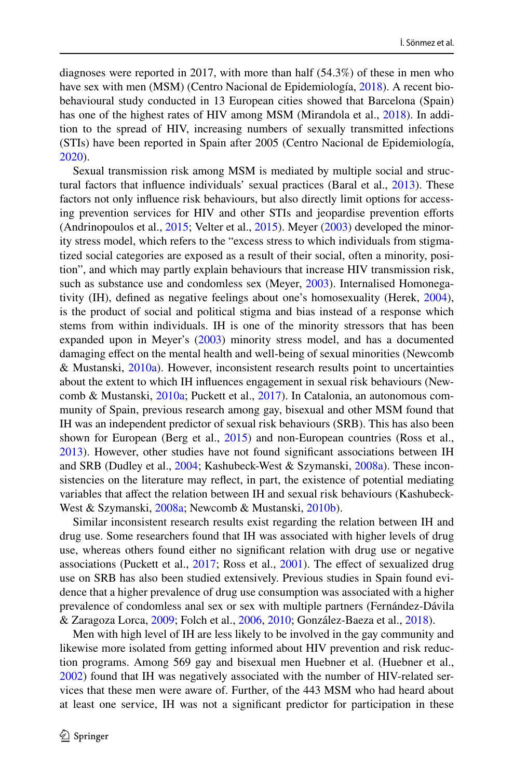diagnoses were reported in 2017, with more than half (54.3%) of these in men who have sex with men (MSM) (Centro Nacional de Epidemiología, [2018](#page-15-0)). A recent biobehavioural study conducted in 13 European cities showed that Barcelona (Spain) has one of the highest rates of HIV among MSM (Mirandola et al., [2018\)](#page-17-0). In addition to the spread of HIV, increasing numbers of sexually transmitted infections (STIs) have been reported in Spain after 2005 (Centro Nacional de Epidemiología, [2020](#page-16-1)).

Sexual transmission risk among MSM is mediated by multiple social and structural factors that infuence individuals' sexual practices (Baral et al., [2013](#page-15-1)). These factors not only infuence risk behaviours, but also directly limit options for accessing prevention services for HIV and other STIs and jeopardise prevention eforts (Andrinopoulos et al., [2015](#page-15-2); Velter et al., [2015\)](#page-18-0). Meyer ([2003\)](#page-17-1) developed the minority stress model, which refers to the "excess stress to which individuals from stigmatized social categories are exposed as a result of their social, often a minority, position", and which may partly explain behaviours that increase HIV transmission risk, such as substance use and condomless sex (Meyer, [2003\)](#page-17-1). Internalised Homonegativity (IH), defned as negative feelings about one's homosexuality (Herek, [2004\)](#page-16-2), is the product of social and political stigma and bias instead of a response which stems from within individuals. IH is one of the minority stressors that has been expanded upon in Meyer's ([2003\)](#page-17-1) minority stress model, and has a documented damaging effect on the mental health and well-being of sexual minorities (Newcomb & Mustanski,  $2010a$ ). However, inconsistent research results point to uncertainties about the extent to which IH infuences engagement in sexual risk behaviours (Newcomb & Mustanski, [2010a;](#page-17-2) Puckett et al., [2017\)](#page-17-3). In Catalonia, an autonomous community of Spain, previous research among gay, bisexual and other MSM found that IH was an independent predictor of sexual risk behaviours (SRB). This has also been shown for European (Berg et al., [2015\)](#page-15-3) and non-European countries (Ross et al., [2013](#page-17-4)). However, other studies have not found signifcant associations between IH and SRB (Dudley et al., [2004](#page-16-3); Kashubeck-West & Szymanski, [2008a\)](#page-16-4). These inconsistencies on the literature may refect, in part, the existence of potential mediating variables that afect the relation between IH and sexual risk behaviours (Kashubeck-West & Szymanski, [2008a](#page-16-4); Newcomb & Mustanski, [2010b](#page-17-5)).

Similar inconsistent research results exist regarding the relation between IH and drug use. Some researchers found that IH was associated with higher levels of drug use, whereas others found either no signifcant relation with drug use or negative associations (Puckett et al., [2017;](#page-17-3) Ross et al., [2001](#page-17-6)). The efect of sexualized drug use on SRB has also been studied extensively. Previous studies in Spain found evidence that a higher prevalence of drug use consumption was associated with a higher prevalence of condomless anal sex or sex with multiple partners (Fernández-Dávila & Zaragoza Lorca, [2009](#page-16-5); Folch et al., [2006,](#page-16-6) [2010;](#page-16-7) González-Baeza et al., [2018\)](#page-16-8).

Men with high level of IH are less likely to be involved in the gay community and likewise more isolated from getting informed about HIV prevention and risk reduction programs. Among 569 gay and bisexual men Huebner et al. (Huebner et al., [2002](#page-16-9)) found that IH was negatively associated with the number of HIV-related services that these men were aware of. Further, of the 443 MSM who had heard about at least one service, IH was not a signifcant predictor for participation in these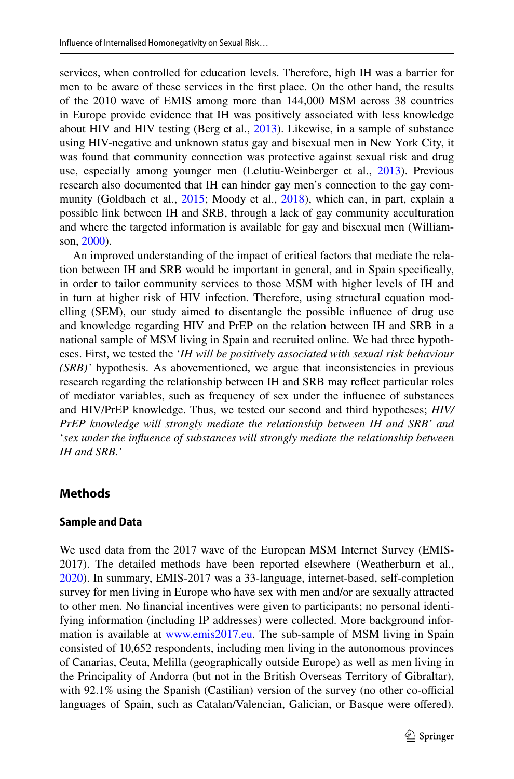services, when controlled for education levels. Therefore, high IH was a barrier for men to be aware of these services in the frst place. On the other hand, the results of the 2010 wave of EMIS among more than 144,000 MSM across 38 countries in Europe provide evidence that IH was positively associated with less knowledge about HIV and HIV testing (Berg et al., [2013\)](#page-15-4). Likewise, in a sample of substance using HIV-negative and unknown status gay and bisexual men in New York City, it was found that community connection was protective against sexual risk and drug use, especially among younger men (Lelutiu-Weinberger et al., [2013\)](#page-17-7). Previous research also documented that IH can hinder gay men's connection to the gay com-munity (Goldbach et al., [2015](#page-16-10); Moody et al., [2018\)](#page-17-8), which can, in part, explain a possible link between IH and SRB, through a lack of gay community acculturation and where the targeted information is available for gay and bisexual men (Williamson, [2000\)](#page-18-1).

An improved understanding of the impact of critical factors that mediate the relation between IH and SRB would be important in general, and in Spain specifcally, in order to tailor community services to those MSM with higher levels of IH and in turn at higher risk of HIV infection. Therefore, using structural equation modelling (SEM), our study aimed to disentangle the possible infuence of drug use and knowledge regarding HIV and PrEP on the relation between IH and SRB in a national sample of MSM living in Spain and recruited online. We had three hypotheses. First, we tested the '*IH will be positively associated with sexual risk behaviour (SRB)'* hypothesis. As abovementioned, we argue that inconsistencies in previous research regarding the relationship between IH and SRB may refect particular roles of mediator variables, such as frequency of sex under the infuence of substances and HIV/PrEP knowledge. Thus, we tested our second and third hypotheses; *HIV/ PrEP knowledge will strongly mediate the relationship between IH and SRB' and* '*sex under the infuence of substances will strongly mediate the relationship between IH and SRB.'*

# **Methods**

### **Sample and Data**

We used data from the 2017 wave of the European MSM Internet Survey (EMIS-2017). The detailed methods have been reported elsewhere (Weatherburn et al., [2020](#page-18-2)). In summary, EMIS-2017 was a 33-language, internet-based, self-completion survey for men living in Europe who have sex with men and/or are sexually attracted to other men. No fnancial incentives were given to participants; no personal identifying information (including IP addresses) were collected. More background information is available at [www.emis2017.eu.](http://www.emis2017.eu) The sub-sample of MSM living in Spain consisted of 10,652 respondents, including men living in the autonomous provinces of Canarias, Ceuta, Melilla (geographically outside Europe) as well as men living in the Principality of Andorra (but not in the British Overseas Territory of Gibraltar), with  $92.1\%$  using the Spanish (Castilian) version of the survey (no other co-official languages of Spain, such as Catalan/Valencian, Galician, or Basque were ofered).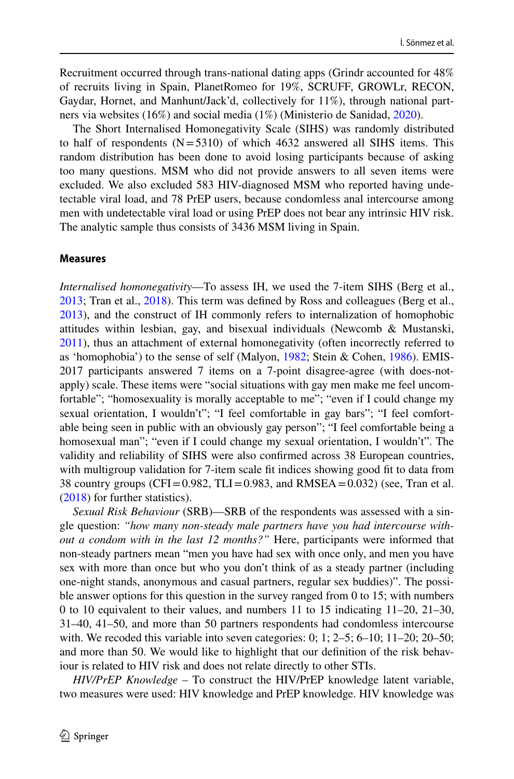Recruitment occurred through trans-national dating apps (Grindr accounted for 48% of recruits living in Spain, PlanetRomeo for 19%, SCRUFF, GROWLr, RECON, Gaydar, Hornet, and Manhunt/Jack'd, collectively for 11%), through national partners via websites (16%) and social media (1%) (Ministerio de Sanidad, [2020](#page-18-3)).

The Short Internalised Homonegativity Scale (SIHS) was randomly distributed to half of respondents  $(N=5310)$  of which 4632 answered all SIHS items. This random distribution has been done to avoid losing participants because of asking too many questions. MSM who did not provide answers to all seven items were excluded. We also excluded 583 HIV-diagnosed MSM who reported having undetectable viral load, and 78 PrEP users, because condomless anal intercourse among men with undetectable viral load or using PrEP does not bear any intrinsic HIV risk. The analytic sample thus consists of 3436 MSM living in Spain.

#### **Measures**

*Internalised homonegativity*—To assess IH, we used the 7-item SIHS (Berg et al., [2013](#page-15-4); Tran et al., [2018\)](#page-18-4). This term was defned by Ross and colleagues (Berg et al., [2013](#page-15-4)), and the construct of IH commonly refers to internalization of homophobic attitudes within lesbian, gay, and bisexual individuals (Newcomb & Mustanski, [2011](#page-17-9)), thus an attachment of external homonegativity (often incorrectly referred to as 'homophobia') to the sense of self (Malyon, [1982;](#page-17-10) Stein & Cohen, [1986\)](#page-18-5). EMIS-2017 participants answered 7 items on a 7-point disagree-agree (with does-notapply) scale. These items were "social situations with gay men make me feel uncomfortable"; "homosexuality is morally acceptable to me"; "even if I could change my sexual orientation, I wouldn't"; "I feel comfortable in gay bars"; "I feel comfortable being seen in public with an obviously gay person"; "I feel comfortable being a homosexual man"; "even if I could change my sexual orientation, I wouldn't". The validity and reliability of SIHS were also confrmed across 38 European countries, with multigroup validation for 7-item scale fit indices showing good fit to data from 38 country groups (CFI=0.982, TLI=0.983, and RMSEA=0.032) (see, Tran et al. [\(2018](#page-18-4)) for further statistics).

*Sexual Risk Behaviour* (SRB)—SRB of the respondents was assessed with a single question: *"how many non-steady male partners have you had intercourse without a condom with in the last 12 months?"* Here, participants were informed that non-steady partners mean "men you have had sex with once only, and men you have sex with more than once but who you don't think of as a steady partner (including one-night stands, anonymous and casual partners, regular sex buddies)". The possible answer options for this question in the survey ranged from 0 to 15; with numbers 0 to 10 equivalent to their values, and numbers 11 to 15 indicating 11–20, 21–30, 31–40, 41–50, and more than 50 partners respondents had condomless intercourse with. We recoded this variable into seven categories:  $0; 1; 2-5; 6-10; 11-20; 20-50;$ and more than 50. We would like to highlight that our defnition of the risk behaviour is related to HIV risk and does not relate directly to other STIs.

*HIV/PrEP Knowledge* – To construct the HIV/PrEP knowledge latent variable, two measures were used: HIV knowledge and PrEP knowledge. HIV knowledge was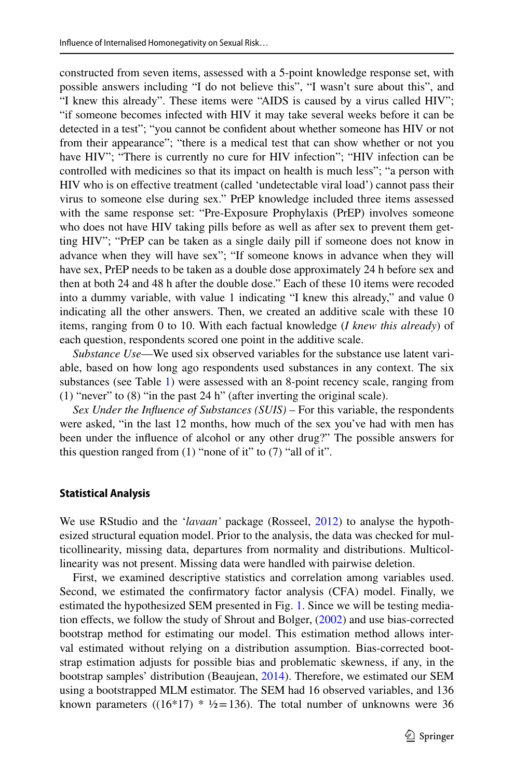constructed from seven items, assessed with a 5-point knowledge response set, with possible answers including "I do not believe this", "I wasn't sure about this", and "I knew this already". These items were "AIDS is caused by a virus called HIV"; "if someone becomes infected with HIV it may take several weeks before it can be detected in a test"; "you cannot be confdent about whether someone has HIV or not from their appearance"; "there is a medical test that can show whether or not you have HIV"; "There is currently no cure for HIV infection"; "HIV infection can be controlled with medicines so that its impact on health is much less"; "a person with HIV who is on efective treatment (called 'undetectable viral load') cannot pass their virus to someone else during sex." PrEP knowledge included three items assessed with the same response set: "Pre-Exposure Prophylaxis (PrEP) involves someone who does not have HIV taking pills before as well as after sex to prevent them getting HIV"; "PrEP can be taken as a single daily pill if someone does not know in advance when they will have sex"; "If someone knows in advance when they will have sex, PrEP needs to be taken as a double dose approximately 24 h before sex and then at both 24 and 48 h after the double dose." Each of these 10 items were recoded into a dummy variable, with value 1 indicating "I knew this already," and value 0 indicating all the other answers. Then, we created an additive scale with these 10 items, ranging from 0 to 10. With each factual knowledge (*I knew this already*) of each question, respondents scored one point in the additive scale.

*Substance Use*—We used six observed variables for the substance use latent variable, based on how long ago respondents used substances in any context. The six substances (see Table [1](#page-5-0)) were assessed with an 8-point recency scale, ranging from (1) "never" to (8) "in the past 24 h" (after inverting the original scale).

*Sex Under the Infuence of Substances (SUIS)* – For this variable, the respondents were asked, "in the last 12 months, how much of the sex you've had with men has been under the infuence of alcohol or any other drug?" The possible answers for this question ranged from  $(1)$  "none of it" to  $(7)$  "all of it".

### **Statistical Analysis**

We use RStudio and the '*lavaan'* package (Rosseel, [2012](#page-18-6)) to analyse the hypothesized structural equation model. Prior to the analysis, the data was checked for multicollinearity, missing data, departures from normality and distributions. Multicollinearity was not present. Missing data were handled with pairwise deletion.

First, we examined descriptive statistics and correlation among variables used. Second, we estimated the confrmatory factor analysis (CFA) model. Finally, we estimated the hypothesized SEM presented in Fig. [1](#page-6-0). Since we will be testing media-tion effects, we follow the study of Shrout and Bolger, ([2002\)](#page-18-7) and use bias-corrected bootstrap method for estimating our model. This estimation method allows interval estimated without relying on a distribution assumption. Bias-corrected bootstrap estimation adjusts for possible bias and problematic skewness, if any, in the bootstrap samples' distribution (Beaujean, [2014\)](#page-15-5). Therefore, we estimated our SEM using a bootstrapped MLM estimator. The SEM had 16 observed variables, and 136 known parameters ((16\*17) \*  $\frac{1}{2}$  = 136). The total number of unknowns were 36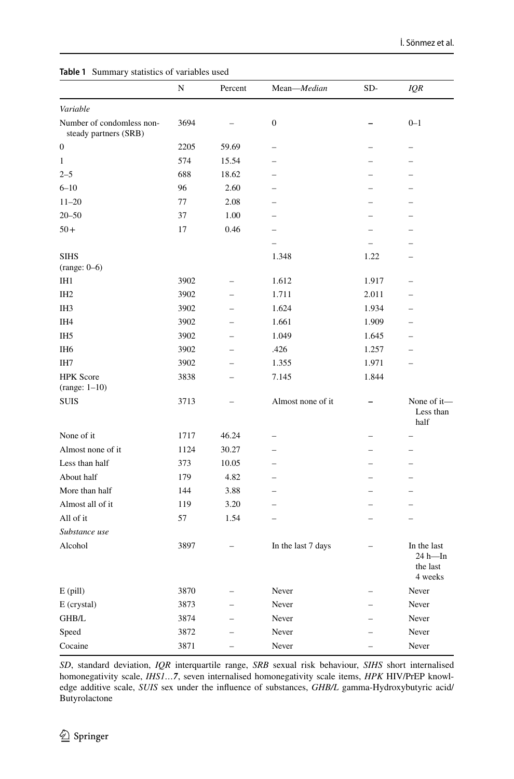|                                                    | N    | Percent | Mean-Median        | SD-                      | IQR                                              |
|----------------------------------------------------|------|---------|--------------------|--------------------------|--------------------------------------------------|
| Variable                                           |      |         |                    |                          |                                                  |
| Number of condomless non-<br>steady partners (SRB) | 3694 |         | 0                  |                          | $0 - 1$                                          |
| $\boldsymbol{0}$                                   | 2205 | 59.69   |                    |                          | -                                                |
| $\mathbf{1}$                                       | 574  | 15.54   |                    |                          |                                                  |
| $2 - 5$                                            | 688  | 18.62   |                    |                          |                                                  |
| $6 - 10$                                           | 96   | 2.60    |                    | $\overline{\phantom{0}}$ |                                                  |
| $11 - 20$                                          | 77   | 2.08    |                    | ▃                        | ▃                                                |
| $20 - 50$                                          | 37   | 1.00    |                    |                          |                                                  |
| $50+$                                              | 17   | 0.46    |                    |                          |                                                  |
|                                                    |      |         |                    |                          |                                                  |
| <b>SIHS</b><br>$(range: 0-6)$                      |      |         | 1.348              | 1.22                     |                                                  |
| IH <sub>1</sub>                                    | 3902 |         | 1.612              | 1.917                    |                                                  |
| IH <sub>2</sub>                                    | 3902 |         | 1.711              | 2.011                    |                                                  |
| IH <sub>3</sub>                                    | 3902 |         | 1.624              | 1.934                    |                                                  |
| IH4                                                | 3902 |         | 1.661              | 1.909                    |                                                  |
| IH <sub>5</sub>                                    | 3902 |         | 1.049              | 1.645                    |                                                  |
| IH <sub>6</sub>                                    | 3902 |         | .426               | 1.257                    |                                                  |
| IH7                                                | 3902 |         | 1.355              | 1.971                    |                                                  |
| <b>HPK</b> Score<br>$(range: 1-10)$                | 3838 |         | 7.145              | 1.844                    |                                                  |
| <b>SUIS</b>                                        | 3713 |         | Almost none of it  |                          | None of it-<br>Less than<br>half                 |
| None of it                                         | 1717 | 46.24   |                    | ÷                        | $\overline{\phantom{0}}$                         |
| Almost none of it                                  | 1124 | 30.27   |                    |                          |                                                  |
| Less than half                                     | 373  | 10.05   |                    |                          |                                                  |
| About half                                         | 179  | 4.82    |                    |                          |                                                  |
| More than half                                     | 144  | 3.88    |                    |                          |                                                  |
| Almost all of it                                   | 119  | 3.20    |                    |                          |                                                  |
| All of it                                          | 57   | 1.54    |                    | -                        |                                                  |
| Substance use                                      |      |         |                    |                          |                                                  |
| Alcohol                                            | 3897 |         | In the last 7 days |                          | In the last<br>$24 h$ —In<br>the last<br>4 weeks |
| $E$ (pill)                                         | 3870 |         | Never              | $\overline{\phantom{0}}$ | Never                                            |
| E (crystal)                                        | 3873 |         | Never              | $\overline{\phantom{0}}$ | Never                                            |
| GHB/L                                              | 3874 |         | Never              | $\overline{\phantom{0}}$ | Never                                            |
| Speed                                              | 3872 |         | Never              |                          | Never                                            |
| Cocaine                                            | 3871 |         | Never              |                          | Never                                            |

<span id="page-5-0"></span>**Table 1** Summary statistics of variables used

*SD*, standard deviation, *IQR* interquartile range, *SRB* sexual risk behaviour, *SIHS* short internalised homonegativity scale, *IHS1…7*, seven internalised homonegativity scale items, *HPK* HIV/PrEP knowledge additive scale, *SUIS* sex under the infuence of substances, *GHB/L* gamma-Hydroxybutyric acid/ Butyrolactone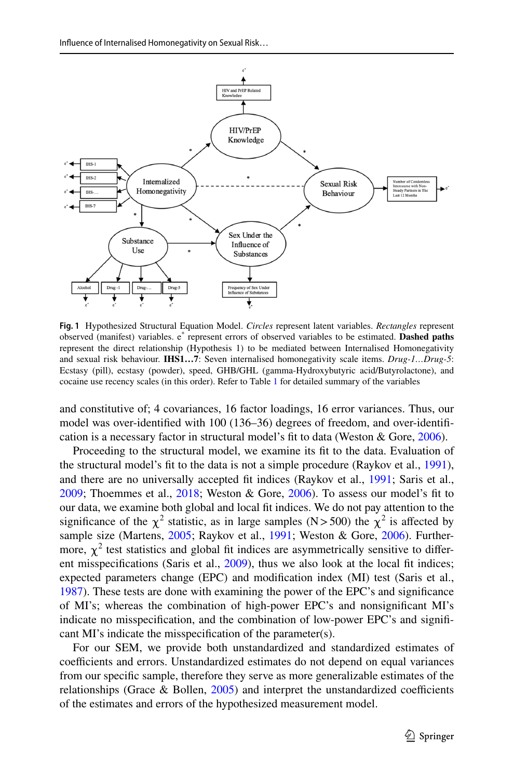

<span id="page-6-0"></span>**Fig. 1** Hypothesized Structural Equation Model. *Circles* represent latent variables. *Rectangles* represent observed (manifest) variables. e\* represent errors of observed variables to be estimated. **Dashed paths** represent the direct relationship (Hypothesis 1) to be mediated between Internalised Homonegativity and sexual risk behaviour. **IHS1…7**: Seven internalised homonegativity scale items. *Drug-1…Drug-5*: Ecstasy (pill), ecstasy (powder), speed, GHB/GHL (gamma-Hydroxybutyric acid/Butyrolactone), and cocaine use recency scales (in this order). Refer to Table [1](#page-5-0) for detailed summary of the variables

and constitutive of; 4 covariances, 16 factor loadings, 16 error variances. Thus, our model was over-identifed with 100 (136–36) degrees of freedom, and over-identifcation is a necessary factor in structural model's fit to data (Weston  $&$  Gore, [2006](#page-18-8)).

Proceeding to the structural model, we examine its ft to the data. Evaluation of the structural model's ft to the data is not a simple procedure (Raykov et al., [1991\)](#page-17-11), and there are no universally accepted ft indices (Raykov et al., [1991](#page-17-11); Saris et al., [2009](#page-18-9); Thoemmes et al., [2018;](#page-18-10) Weston & Gore, [2006\)](#page-18-8). To assess our model's ft to our data, we examine both global and local ft indices. We do not pay attention to the significance of the  $\chi^2$  statistic, as in large samples (N>500) the  $\chi^2$  is affected by sample size (Martens, [2005;](#page-17-12) Raykov et al., [1991;](#page-17-11) Weston & Gore, [2006](#page-18-8)). Furthermore,  $\chi^2$  test statistics and global fit indices are asymmetrically sensitive to different misspecifcations (Saris et al., [2009\)](#page-18-9), thus we also look at the local ft indices; expected parameters change (EPC) and modifcation index (MI) test (Saris et al., [1987](#page-18-11)). These tests are done with examining the power of the EPC's and signifcance of MI's; whereas the combination of high-power EPC's and nonsignifcant MI's indicate no misspecifcation, and the combination of low-power EPC's and signifcant MI's indicate the misspecifcation of the parameter(s).

For our SEM, we provide both unstandardized and standardized estimates of coefficients and errors. Unstandardized estimates do not depend on equal variances from our specifc sample, therefore they serve as more generalizable estimates of the relationships (Grace  $\&$  Bollen, [2005](#page-16-11)) and interpret the unstandardized coefficients of the estimates and errors of the hypothesized measurement model.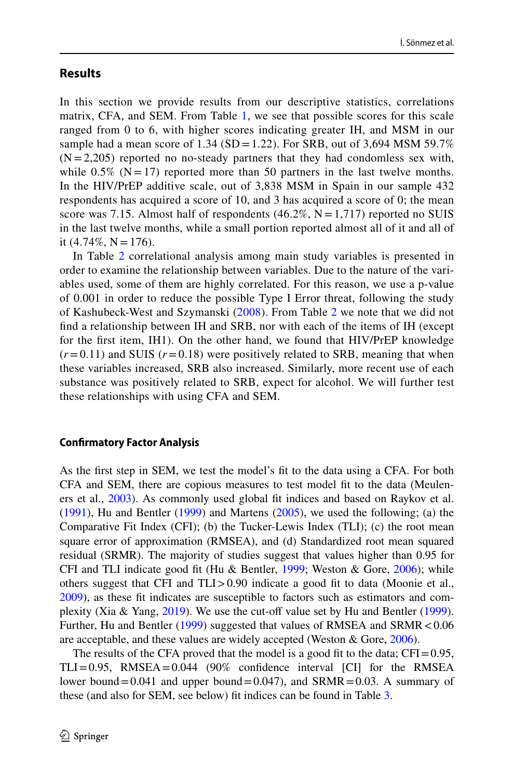# **Results**

In this section we provide results from our descriptive statistics, correlations matrix, CFA, and SEM. From Table [1,](#page-5-0) we see that possible scores for this scale ranged from 0 to 6, with higher scores indicating greater IH, and MSM in our sample had a mean score of  $1.34$  (SD = 1.22). For SRB, out of 3,694 MSM 59.7%  $(N=2,205)$  reported no no-steady partners that they had condomless sex with, while  $0.5\%$  (N = 17) reported more than 50 partners in the last twelve months. In the HIV/PrEP additive scale, out of 3,838 MSM in Spain in our sample 432 respondents has acquired a score of 10, and 3 has acquired a score of 0; the mean score was 7.15. Almost half of respondents  $(46.2\%, N=1,717)$  reported no SUIS in the last twelve months, while a small portion reported almost all of it and all of it  $(4.74\%, N = 176)$ .

In Table [2](#page-8-0) correlational analysis among main study variables is presented in order to examine the relationship between variables. Due to the nature of the variables used, some of them are highly correlated. For this reason, we use a p-value of 0.001 in order to reduce the possible Type I Error threat, following the study of Kashubeck-West and Szymanski ([2008](#page-16-4)). From Table [2](#page-8-0) we note that we did not fnd a relationship between IH and SRB, nor with each of the items of IH (except for the frst item, IH1). On the other hand, we found that HIV/PrEP knowledge  $(r=0.11)$  and SUIS  $(r=0.18)$  were positively related to SRB, meaning that when these variables increased, SRB also increased. Similarly, more recent use of each substance was positively related to SRB, expect for alcohol. We will further test these relationships with using CFA and SEM.

#### **Confrmatory Factor Analysis**

As the frst step in SEM, we test the model's ft to the data using a CFA. For both CFA and SEM, there are copious measures to test model ft to the data (Meuleners et al., [2003\)](#page-17-13). As commonly used global ft indices and based on Raykov et al. [\(1991](#page-17-11)), Hu and Bentler ([1999\)](#page-16-12) and Martens [\(2005](#page-17-12)), we used the following; (a) the Comparative Fit Index (CFI); (b) the Tucker-Lewis Index (TLI); (c) the root mean square error of approximation (RMSEA), and (d) Standardized root mean squared residual (SRMR). The majority of studies suggest that values higher than 0.95 for CFI and TLI indicate good fit (Hu & Bentler, [1999;](#page-16-12) Weston & Gore,  $2006$ ); while others suggest that CFI and  $TLI > 0.90$  indicate a good fit to data (Moonie et al., [2009](#page-17-14)), as these ft indicates are susceptible to factors such as estimators and com-plexity (Xia & Yang, [2019\)](#page-18-12). We use the cut-off value set by Hu and Bentler ([1999\)](#page-16-12). Further, Hu and Bentler ([1999\)](#page-16-12) suggested that values of RMSEA and SRMR < 0.06 are acceptable, and these values are widely accepted (Weston & Gore, [2006\)](#page-18-8).

The results of the CFA proved that the model is a good fit to the data;  $CFI = 0.95$ ,  $TLI=0.95$ , RMSEA $=0.044$  (90% confidence interval [CI] for the RMSEA lower bound=0.041 and upper bound=0.047), and  $SRMR=0.03$ . A summary of these (and also for SEM, see below) ft indices can be found in Table [3](#page-9-0).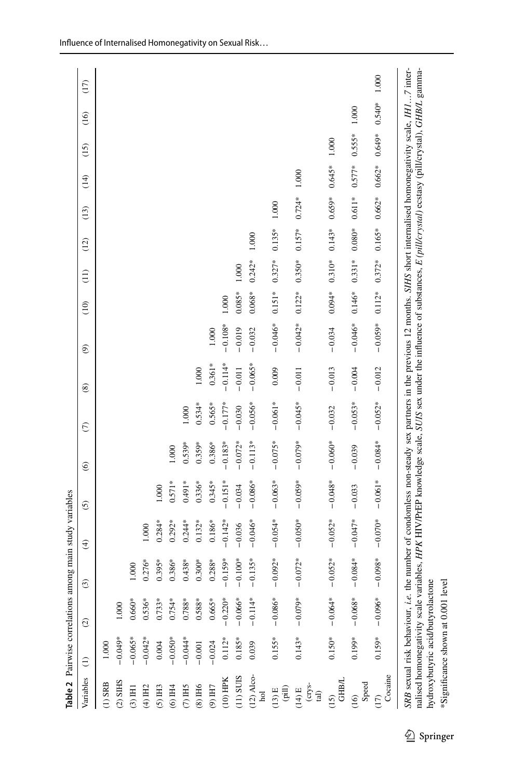|                                               |           | Table 2 Pairwise correlations an                                                                                                                                                                                                                                                                                                                                                                                          |           | nong main study variables |           |                   |            |               |                |           |               |          |          |          |          |          |       |
|-----------------------------------------------|-----------|---------------------------------------------------------------------------------------------------------------------------------------------------------------------------------------------------------------------------------------------------------------------------------------------------------------------------------------------------------------------------------------------------------------------------|-----------|---------------------------|-----------|-------------------|------------|---------------|----------------|-----------|---------------|----------|----------|----------|----------|----------|-------|
| Variables                                     | $\ominus$ | $\widehat{\omega}$                                                                                                                                                                                                                                                                                                                                                                                                        | $\odot$   | $\widehat{\mathfrak{X}}$  | $\odot$   | $\widehat{\circ}$ | $\epsilon$ | $\circledast$ | $\circledcirc$ | (10)      | $\frac{1}{2}$ | (12)     | (13)     | (14)     | (15)     | (16)     | (17)  |
| $(1)$ SRB                                     | 1.000     |                                                                                                                                                                                                                                                                                                                                                                                                                           |           |                           |           |                   |            |               |                |           |               |          |          |          |          |          |       |
| $(2)$ SHIS                                    | $-0.049*$ |                                                                                                                                                                                                                                                                                                                                                                                                                           |           |                           |           |                   |            |               |                |           |               |          |          |          |          |          |       |
| $(3)$ H <sub>1</sub>                          | $-0.065*$ | $0.660*$                                                                                                                                                                                                                                                                                                                                                                                                                  | 1.000     |                           |           |                   |            |               |                |           |               |          |          |          |          |          |       |
| $(4)$ H <sub>2</sub>                          | $-0.042*$ | $0.536*$                                                                                                                                                                                                                                                                                                                                                                                                                  | $0.276*$  | 1.000                     |           |                   |            |               |                |           |               |          |          |          |          |          |       |
| $(5)$ H3                                      | 0.004     | $0.733*$                                                                                                                                                                                                                                                                                                                                                                                                                  | $0.395*$  | $0.284*$                  | 1.000     |                   |            |               |                |           |               |          |          |          |          |          |       |
| $(6)$ H <sub>4</sub>                          | $-0.050*$ | $0.754*$                                                                                                                                                                                                                                                                                                                                                                                                                  | $0.386*$  | $0.292*$                  | $0.571*$  | 1.000             |            |               |                |           |               |          |          |          |          |          |       |
| $(7)$ H5                                      | $-0.044*$ | $0.788*$                                                                                                                                                                                                                                                                                                                                                                                                                  | $0.438*$  | $0.244*$                  | $0.491*$  | $0.539*$          | 1.000      |               |                |           |               |          |          |          |          |          |       |
| $(8)$ H <sub>6</sub>                          | $-0.001$  | $0.588*$                                                                                                                                                                                                                                                                                                                                                                                                                  | $0.300*$  | $0.132*$                  | $0.336*$  | $0.359*$          | $0.534*$   | 1.000         |                |           |               |          |          |          |          |          |       |
| $(9)$ H7                                      | $-0.024$  | $0.665*$                                                                                                                                                                                                                                                                                                                                                                                                                  | $0.288*$  | $0.186*$                  | $0.345*$  | $0.386*$          | $0.565*$   | $0.361*$      | 1.000          |           |               |          |          |          |          |          |       |
| $(10)$ HPK                                    | $0.112*$  | $-0.220*$                                                                                                                                                                                                                                                                                                                                                                                                                 | $-0.159*$ | $-0.142*$                 | $-0.151*$ | $-0.183*$         | $-0.177*$  | $-0.114*$     | $-0.108*$      | 1.000     |               |          |          |          |          |          |       |
| $(11)$ SUIS                                   | $0.185*$  | $-0.066*$                                                                                                                                                                                                                                                                                                                                                                                                                 | $-0.100*$ | $-0.036$                  | $-0.034$  | $-0.072*$         | $-0.030$   | $-0.011$      | $-0.019$       | $0.085*$  | 1.000         |          |          |          |          |          |       |
| $(12)$ Alco-<br>$_{\rm hol}$                  | 0.039     | $-0.114*$                                                                                                                                                                                                                                                                                                                                                                                                                 | $-0.135*$ | $-0.046*$                 | $-0.086*$ | $-0.113*$         | $-0.056*$  | $-0.065*$     | $-0.032$       | $0.068*$  | $0.242*$      | 1.000    |          |          |          |          |       |
| (lig<br>$(13)$ E                              | $0.155*$  | $-0.086*$                                                                                                                                                                                                                                                                                                                                                                                                                 | $-0.092*$ | $-0.054*$                 | $-0.063*$ | $-0.075*$         | $-0.061*$  | 0.009         | $-0.046*$      | $0.151*$  | $0.327*$      | $0.135*$ | 1.000    |          |          |          |       |
| $\frac{(\text{crys}}{\text{ad})}$<br>$(14)$ E | $0.143*$  | $-0.079*$                                                                                                                                                                                                                                                                                                                                                                                                                 | $-0.072*$ | $-0.050*$                 | $-0.059*$ | $-0.079*$         | $-0.045*$  | $-0.011$      | $-0.042*$      | $0.122*$  | $0.350*$      | $0.157*$ | $0.724*$ | 1.000    |          |          |       |
| <b>GHB</b> L<br>(15)                          | $0.150*$  | $-0.064*$                                                                                                                                                                                                                                                                                                                                                                                                                 | $-0.052*$ | $-0.052*$                 | $-0.048*$ | $-0.060*$         | $-0.032$   | $-0.013$      | $-0.034$       | $0.094**$ | $0.310*$      | $0.143*$ | $0.659*$ | $0.645*$ | 1.000    |          |       |
| Speed<br>$\overline{6}$                       | $0.199*$  | $-0.068*$                                                                                                                                                                                                                                                                                                                                                                                                                 | $-0.084*$ | $-0.047*$                 | $-0.033$  | $-0.039$          | $-0.053*$  | $-0.004$      | $-0.046*$      | $0.146*$  | $0.331*$      | $0.080*$ | $0.611*$ | $0.577*$ | $0.555*$ | 1.000    |       |
| Cocaine                                       | $0.159*$  | $-0.096*$                                                                                                                                                                                                                                                                                                                                                                                                                 | $-0.098*$ | $-0.070*$                 | $-0.061*$ | $-0.084**$        | $-0.052*$  | $-0.012$      | $-0.059*$      | $0.112*$  | $0.372*$      | $0.165*$ | $0.662*$ | $0.662*$ | $0.649*$ | $0.540*$ | 1.000 |
|                                               |           | SRB sexual risk behaviour, i.e. the number of condomless non-steady sex partners in the previous 12 months. SHIS short internalised homonegativity scale, IH17 inter-<br>nalised homonegativity scale variables, HPK HIV/PrEP knowledge scale, SUIS sex under the influence of substances, E (pill/crystal) ecstasy (pill/crystal), GHB/L gamma-<br>hydroxybutyric acid/butyrolactone<br>*Significance shown at 0.001 lev | ত         |                           |           |                   |            |               |                |           |               |          |          |          |          |          |       |

<span id="page-8-0"></span> $\underline{\textcircled{\tiny 2}}$  Springer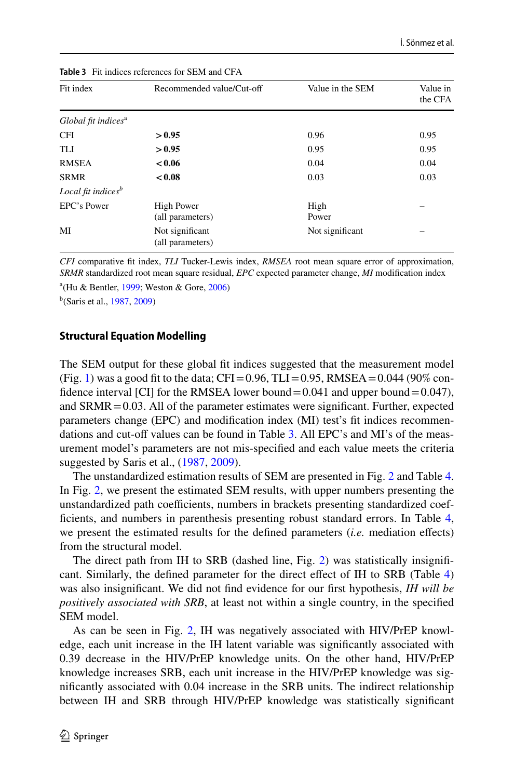| Fit index                       | Recommended value/Cut-off             | Value in the SEM | Value in<br>the CFA |
|---------------------------------|---------------------------------------|------------------|---------------------|
| Global fit indices <sup>a</sup> |                                       |                  |                     |
| <b>CFI</b>                      | > 0.95                                | 0.96             | 0.95                |
| <b>TLI</b>                      | > 0.95                                | 0.95             | 0.95                |
| <b>RMSEA</b>                    | < 0.06                                | 0.04             | 0.04                |
| <b>SRMR</b>                     | < 0.08                                | 0.03             | 0.03                |
| Local fit indices $b$           |                                       |                  |                     |
| <b>EPC's Power</b>              | <b>High Power</b><br>(all parameters) | High<br>Power    |                     |
| MI                              | Not significant<br>(all parameters)   | Not significant  |                     |

<span id="page-9-0"></span>**Table 3** Fit indices references for SEM and CFA

*CFI* comparative ft index, *TLI* Tucker-Lewis index, *RMSEA* root mean square error of approximation, *SRMR* standardized root mean square residual, *EPC* expected parameter change, *MI* modifcation index a (Hu & Bentler, [1999;](#page-16-12) Weston & Gore, [2006](#page-18-8))

b (Saris et al., [1987](#page-18-11), [2009](#page-18-9))

#### **Structural Equation Modelling**

The SEM output for these global ft indices suggested that the measurement model (Fig. [1](#page-6-0)) was a good fit to the data; CFI=0.96, TLI=0.95, RMSEA=0.044 (90% confidence interval [CI] for the RMSEA lower bound =  $0.041$  and upper bound =  $0.047$ ), and  $SRMR = 0.03$ . All of the parameter estimates were significant. Further, expected parameters change (EPC) and modifcation index (MI) test's ft indices recommen-dations and cut-off values can be found in Table [3.](#page-9-0) All EPC's and MI's of the measurement model's parameters are not mis-specifed and each value meets the criteria suggested by Saris et al.,  $(1987, 2009)$  $(1987, 2009)$  $(1987, 2009)$  $(1987, 2009)$ .

The unstandardized estimation results of SEM are presented in Fig. [2](#page-10-0) and Table [4.](#page-10-1) In Fig. [2,](#page-10-0) we present the estimated SEM results, with upper numbers presenting the unstandardized path coefficients, numbers in brackets presenting standardized coeffcients, and numbers in parenthesis presenting robust standard errors. In Table [4,](#page-10-1) we present the estimated results for the defned parameters (*i.e.* mediation efects) from the structural model.

The direct path from IH to SRB (dashed line, Fig. [2](#page-10-0)) was statistically insignifcant. Similarly, the defned parameter for the direct efect of IH to SRB (Table [4](#page-10-1)) was also insignifcant. We did not fnd evidence for our frst hypothesis, *IH will be positively associated with SRB*, at least not within a single country, in the specifed SEM model.

As can be seen in Fig. [2](#page-10-0), IH was negatively associated with HIV/PrEP knowledge, each unit increase in the IH latent variable was signifcantly associated with 0.39 decrease in the HIV/PrEP knowledge units. On the other hand, HIV/PrEP knowledge increases SRB, each unit increase in the HIV/PrEP knowledge was signifcantly associated with 0.04 increase in the SRB units. The indirect relationship between IH and SRB through HIV/PrEP knowledge was statistically signifcant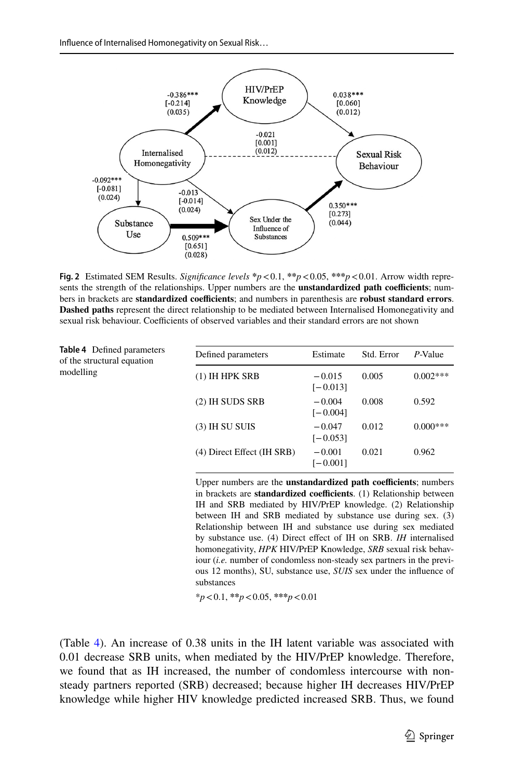

<span id="page-10-0"></span>**Fig. 2** Estimated SEM Results. *Signifcance levels* **\****p*<0.1, **\*\****p*<0.05, **\*\*\****p*<0.01. Arrow width represents the strength of the relationships. Upper numbers are the **unstandardized path coefficients**; numbers in brackets are **standardized coefcients**; and numbers in parenthesis are **robust standard errors**. **Dashed paths** represent the direct relationship to be mediated between Internalised Homonegativity and sexual risk behaviour. Coefficients of observed variables and their standard errors are not shown

<span id="page-10-1"></span>

| <b>Table 4</b> Defined parameters<br>of the structural equation | Defined parameters         | Estimate               | Std. Error | $P$ -Value |
|-----------------------------------------------------------------|----------------------------|------------------------|------------|------------|
| modelling                                                       | $(1)$ IH HPK SRB           | $-0.015$<br>$[-0.013]$ | 0.005      | $0.002***$ |
|                                                                 | (2) IH SUDS SRB            | $-0.004$<br>$[-0.004]$ | 0.008      | 0.592      |
|                                                                 | $(3)$ IH SU SUIS           | $-0.047$<br>$[-0.053]$ | 0.012      | $0.000***$ |
|                                                                 | (4) Direct Effect (IH SRB) | $-0.001$<br>$[-0.001]$ | 0.021      | 0.962      |

Upper numbers are the **unstandardized path coefficients**; numbers in brackets are **standardized coefficients**. (1) Relationship between IH and SRB mediated by HIV/PrEP knowledge. (2) Relationship between IH and SRB mediated by substance use during sex. (3) Relationship between IH and substance use during sex mediated by substance use. (4) Direct efect of IH on SRB. *IH* internalised homonegativity, *HPK* HIV/PrEP Knowledge, *SRB* sexual risk behaviour (*i.e.* number of condomless non-steady sex partners in the previous 12 months), SU, substance use, *SUIS* sex under the infuence of substances

\**p*<0.1, **\*\****p*<0.05, **\*\*\****p*<0.01

(Table [4](#page-10-1)). An increase of 0.38 units in the IH latent variable was associated with 0.01 decrease SRB units, when mediated by the HIV/PrEP knowledge. Therefore, we found that as IH increased, the number of condomless intercourse with nonsteady partners reported (SRB) decreased; because higher IH decreases HIV/PrEP knowledge while higher HIV knowledge predicted increased SRB. Thus, we found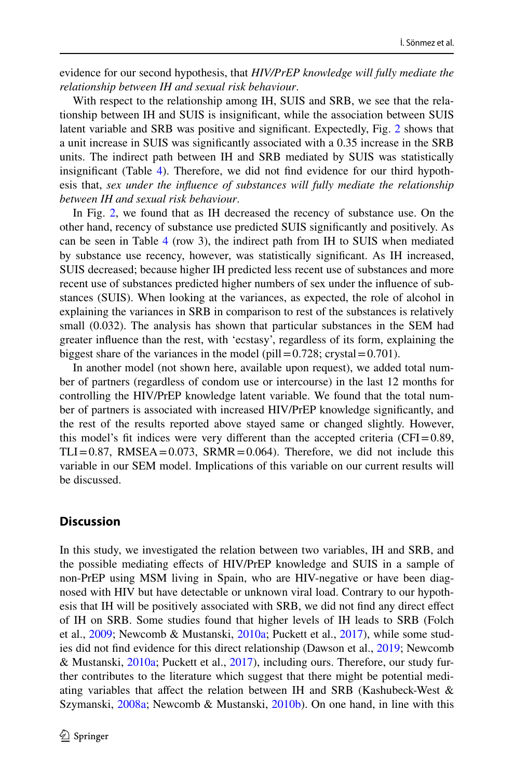evidence for our second hypothesis, that *HIV/PrEP knowledge will fully mediate the relationship between IH and sexual risk behaviour*.

With respect to the relationship among IH, SUIS and SRB, we see that the relationship between IH and SUIS is insignifcant, while the association between SUIS latent variable and SRB was positive and signifcant. Expectedly, Fig. [2](#page-10-0) shows that a unit increase in SUIS was signifcantly associated with a 0.35 increase in the SRB units. The indirect path between IH and SRB mediated by SUIS was statistically insignifcant (Table [4](#page-10-1)). Therefore, we did not fnd evidence for our third hypothesis that, *sex under the infuence of substances will fully mediate the relationship between IH and sexual risk behaviour*.

In Fig. [2,](#page-10-0) we found that as IH decreased the recency of substance use. On the other hand, recency of substance use predicted SUIS signifcantly and positively. As can be seen in Table [4](#page-10-1) (row 3), the indirect path from IH to SUIS when mediated by substance use recency, however, was statistically signifcant. As IH increased, SUIS decreased; because higher IH predicted less recent use of substances and more recent use of substances predicted higher numbers of sex under the infuence of substances (SUIS). When looking at the variances, as expected, the role of alcohol in explaining the variances in SRB in comparison to rest of the substances is relatively small (0.032). The analysis has shown that particular substances in the SEM had greater infuence than the rest, with 'ecstasy', regardless of its form, explaining the biggest share of the variances in the model (pill=0.728; crystal=0.701).

In another model (not shown here, available upon request), we added total number of partners (regardless of condom use or intercourse) in the last 12 months for controlling the HIV/PrEP knowledge latent variable. We found that the total number of partners is associated with increased HIV/PrEP knowledge signifcantly, and the rest of the results reported above stayed same or changed slightly. However, this model's fit indices were very different than the accepted criteria (CFI= $0.89$ ,  $TLI = 0.87$ , RMSEA = 0.073, SRMR = 0.064). Therefore, we did not include this variable in our SEM model. Implications of this variable on our current results will be discussed.

### **Discussion**

In this study, we investigated the relation between two variables, IH and SRB, and the possible mediating efects of HIV/PrEP knowledge and SUIS in a sample of non-PrEP using MSM living in Spain, who are HIV-negative or have been diagnosed with HIV but have detectable or unknown viral load. Contrary to our hypothesis that IH will be positively associated with SRB, we did not fnd any direct efect of IH on SRB. Some studies found that higher levels of IH leads to SRB (Folch et al., [2009](#page-16-13); Newcomb & Mustanski, [2010a](#page-17-2); Puckett et al., [2017\)](#page-17-3), while some studies did not fnd evidence for this direct relationship (Dawson et al., [2019](#page-16-14); Newcomb & Mustanski, [2010a](#page-17-2); Puckett et al., [2017](#page-17-3)), including ours. Therefore, our study further contributes to the literature which suggest that there might be potential mediating variables that afect the relation between IH and SRB (Kashubeck-West & Szymanski, [2008a;](#page-16-4) Newcomb & Mustanski, [2010b](#page-17-5)). On one hand, in line with this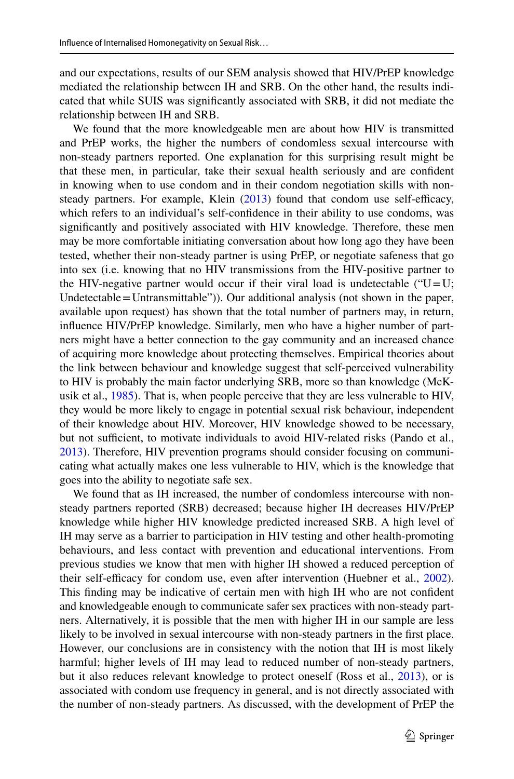and our expectations, results of our SEM analysis showed that HIV/PrEP knowledge mediated the relationship between IH and SRB. On the other hand, the results indicated that while SUIS was signifcantly associated with SRB, it did not mediate the relationship between IH and SRB.

We found that the more knowledgeable men are about how HIV is transmitted and PrEP works, the higher the numbers of condomless sexual intercourse with non-steady partners reported. One explanation for this surprising result might be that these men, in particular, take their sexual health seriously and are confdent in knowing when to use condom and in their condom negotiation skills with nonsteady partners. For example, Klein  $(2013)$  $(2013)$  found that condom use self-efficacy, which refers to an individual's self-confdence in their ability to use condoms, was signifcantly and positively associated with HIV knowledge. Therefore, these men may be more comfortable initiating conversation about how long ago they have been tested, whether their non-steady partner is using PrEP, or negotiate safeness that go into sex (i.e. knowing that no HIV transmissions from the HIV-positive partner to the HIV-negative partner would occur if their viral load is undetectable (" $U=U$ ; Undetectable  $=$  Untransmittable")). Our additional analysis (not shown in the paper, available upon request) has shown that the total number of partners may, in return, infuence HIV/PrEP knowledge. Similarly, men who have a higher number of partners might have a better connection to the gay community and an increased chance of acquiring more knowledge about protecting themselves. Empirical theories about the link between behaviour and knowledge suggest that self-perceived vulnerability to HIV is probably the main factor underlying SRB, more so than knowledge (McKusik et al., [1985\)](#page-17-15). That is, when people perceive that they are less vulnerable to HIV, they would be more likely to engage in potential sexual risk behaviour, independent of their knowledge about HIV. Moreover, HIV knowledge showed to be necessary, but not sufficient, to motivate individuals to avoid HIV-related risks (Pando et al., [2013](#page-17-16)). Therefore, HIV prevention programs should consider focusing on communicating what actually makes one less vulnerable to HIV, which is the knowledge that goes into the ability to negotiate safe sex.

We found that as IH increased, the number of condomless intercourse with nonsteady partners reported (SRB) decreased; because higher IH decreases HIV/PrEP knowledge while higher HIV knowledge predicted increased SRB. A high level of IH may serve as a barrier to participation in HIV testing and other health-promoting behaviours, and less contact with prevention and educational interventions. From previous studies we know that men with higher IH showed a reduced perception of their self-efficacy for condom use, even after intervention (Huebner et al., [2002\)](#page-16-9). This fnding may be indicative of certain men with high IH who are not confdent and knowledgeable enough to communicate safer sex practices with non-steady partners. Alternatively, it is possible that the men with higher IH in our sample are less likely to be involved in sexual intercourse with non-steady partners in the frst place. However, our conclusions are in consistency with the notion that IH is most likely harmful; higher levels of IH may lead to reduced number of non-steady partners, but it also reduces relevant knowledge to protect oneself (Ross et al., [2013](#page-17-4)), or is associated with condom use frequency in general, and is not directly associated with the number of non-steady partners. As discussed, with the development of PrEP the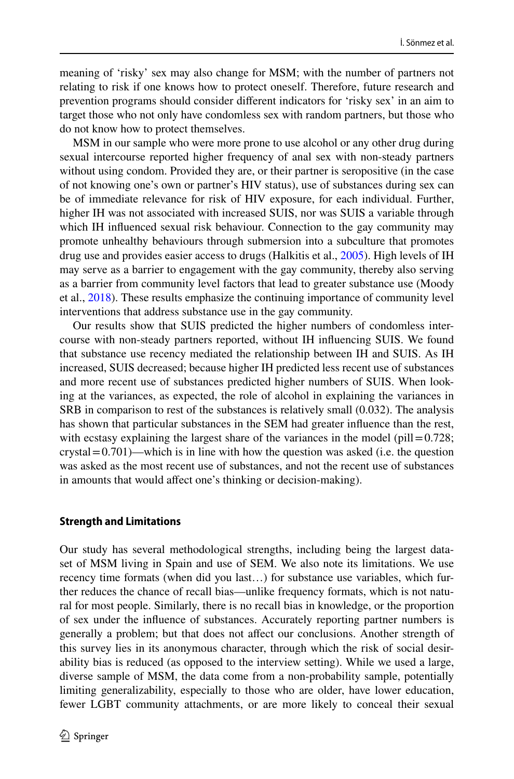meaning of 'risky' sex may also change for MSM; with the number of partners not relating to risk if one knows how to protect oneself. Therefore, future research and prevention programs should consider diferent indicators for 'risky sex' in an aim to target those who not only have condomless sex with random partners, but those who do not know how to protect themselves.

MSM in our sample who were more prone to use alcohol or any other drug during sexual intercourse reported higher frequency of anal sex with non-steady partners without using condom. Provided they are, or their partner is seropositive (in the case of not knowing one's own or partner's HIV status), use of substances during sex can be of immediate relevance for risk of HIV exposure, for each individual. Further, higher IH was not associated with increased SUIS, nor was SUIS a variable through which IH infuenced sexual risk behaviour. Connection to the gay community may promote unhealthy behaviours through submersion into a subculture that promotes drug use and provides easier access to drugs (Halkitis et al., [2005](#page-16-16)). High levels of IH may serve as a barrier to engagement with the gay community, thereby also serving as a barrier from community level factors that lead to greater substance use (Moody et al., [2018](#page-17-8)). These results emphasize the continuing importance of community level interventions that address substance use in the gay community.

Our results show that SUIS predicted the higher numbers of condomless intercourse with non-steady partners reported, without IH infuencing SUIS. We found that substance use recency mediated the relationship between IH and SUIS. As IH increased, SUIS decreased; because higher IH predicted less recent use of substances and more recent use of substances predicted higher numbers of SUIS. When looking at the variances, as expected, the role of alcohol in explaining the variances in SRB in comparison to rest of the substances is relatively small (0.032). The analysis has shown that particular substances in the SEM had greater infuence than the rest, with ecstasy explaining the largest share of the variances in the model (pill $=0.728$ ; crystal=0.701)—which is in line with how the question was asked (i.e. the question was asked as the most recent use of substances, and not the recent use of substances in amounts that would afect one's thinking or decision-making).

### **Strength and Limitations**

Our study has several methodological strengths, including being the largest dataset of MSM living in Spain and use of SEM. We also note its limitations. We use recency time formats (when did you last…) for substance use variables, which further reduces the chance of recall bias—unlike frequency formats, which is not natural for most people. Similarly, there is no recall bias in knowledge, or the proportion of sex under the infuence of substances. Accurately reporting partner numbers is generally a problem; but that does not afect our conclusions. Another strength of this survey lies in its anonymous character, through which the risk of social desirability bias is reduced (as opposed to the interview setting). While we used a large, diverse sample of MSM, the data come from a non-probability sample, potentially limiting generalizability, especially to those who are older, have lower education, fewer LGBT community attachments, or are more likely to conceal their sexual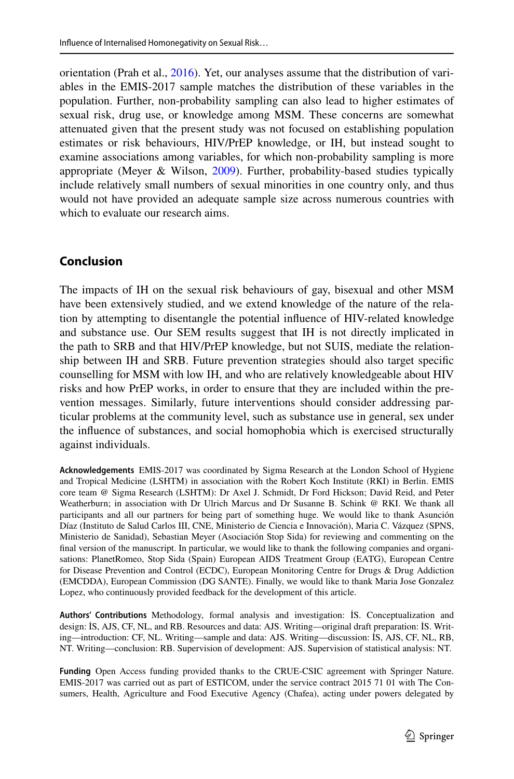orientation (Prah et al., [2016\)](#page-17-17). Yet, our analyses assume that the distribution of variables in the EMIS-2017 sample matches the distribution of these variables in the population. Further, non-probability sampling can also lead to higher estimates of sexual risk, drug use, or knowledge among MSM. These concerns are somewhat attenuated given that the present study was not focused on establishing population estimates or risk behaviours, HIV/PrEP knowledge, or IH, but instead sought to examine associations among variables, for which non-probability sampling is more appropriate (Meyer & Wilson, [2009\)](#page-17-18). Further, probability-based studies typically include relatively small numbers of sexual minorities in one country only, and thus would not have provided an adequate sample size across numerous countries with which to evaluate our research aims.

# **Conclusion**

The impacts of IH on the sexual risk behaviours of gay, bisexual and other MSM have been extensively studied, and we extend knowledge of the nature of the relation by attempting to disentangle the potential infuence of HIV-related knowledge and substance use. Our SEM results suggest that IH is not directly implicated in the path to SRB and that HIV/PrEP knowledge, but not SUIS, mediate the relationship between IH and SRB. Future prevention strategies should also target specifc counselling for MSM with low IH, and who are relatively knowledgeable about HIV risks and how PrEP works, in order to ensure that they are included within the prevention messages. Similarly, future interventions should consider addressing particular problems at the community level, such as substance use in general, sex under the infuence of substances, and social homophobia which is exercised structurally against individuals.

**Acknowledgements** EMIS-2017 was coordinated by Sigma Research at the London School of Hygiene and Tropical Medicine (LSHTM) in association with the Robert Koch Institute (RKI) in Berlin. EMIS core team @ Sigma Research (LSHTM): Dr Axel J. Schmidt, Dr Ford Hickson; David Reid, and Peter Weatherburn; in association with Dr Ulrich Marcus and Dr Susanne B. Schink @ RKI. We thank all participants and all our partners for being part of something huge. We would like to thank Asunción Díaz (Instituto de Salud Carlos III, CNE, Ministerio de Ciencia e Innovación), Maria C. Vázquez (SPNS, Ministerio de Sanidad), Sebastian Meyer (Asociación Stop Sida) for reviewing and commenting on the fnal version of the manuscript. In particular, we would like to thank the following companies and organisations: PlanetRomeo, Stop Sida (Spain) European AIDS Treatment Group (EATG), European Centre for Disease Prevention and Control (ECDC), European Monitoring Centre for Drugs & Drug Addiction (EMCDDA), European Commission (DG SANTE). Finally, we would like to thank Maria Jose Gonzalez Lopez, who continuously provided feedback for the development of this article.

**Authors' Contributions** Methodology, formal analysis and investigation: İS. Conceptualization and design: İS, AJS, CF, NL, and RB. Resources and data: AJS. Writing—original draft preparation: İS. Writing—introduction: CF, NL. Writing—sample and data: AJS. Writing—discussion: İS, AJS, CF, NL, RB, NT. Writing—conclusion: RB. Supervision of development: AJS. Supervision of statistical analysis: NT.

**Funding** Open Access funding provided thanks to the CRUE-CSIC agreement with Springer Nature. EMIS-2017 was carried out as part of ESTICOM, under the service contract 2015 71 01 with The Consumers, Health, Agriculture and Food Executive Agency (Chafea), acting under powers delegated by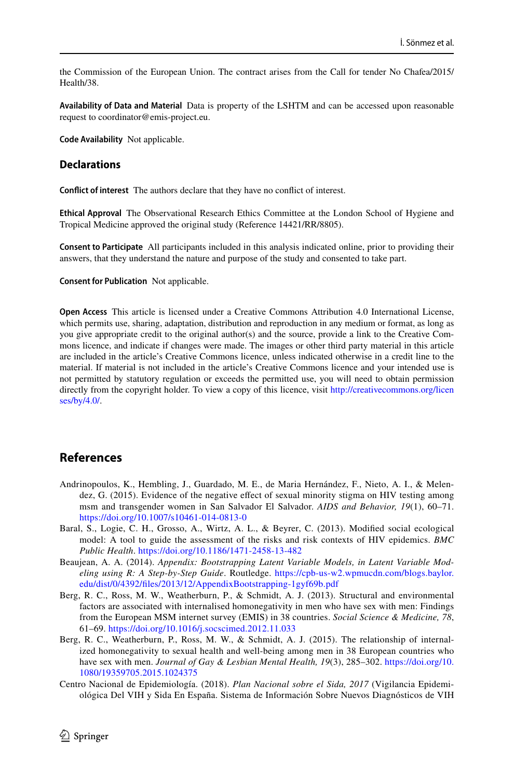the Commission of the European Union. The contract arises from the Call for tender No Chafea/2015/ Health/38.

**Availability of Data and Material** Data is property of the LSHTM and can be accessed upon reasonable request to coordinator@emis-project.eu.

**Code Availability** Not applicable.

### **Declarations**

**Confict of interest** The authors declare that they have no confict of interest.

**Ethical Approval** The Observational Research Ethics Committee at the London School of Hygiene and Tropical Medicine approved the original study (Reference 14421/RR/8805).

**Consent to Participate** All participants included in this analysis indicated online, prior to providing their answers, that they understand the nature and purpose of the study and consented to take part.

**Consent for Publication** Not applicable.

**Open Access** This article is licensed under a Creative Commons Attribution 4.0 International License, which permits use, sharing, adaptation, distribution and reproduction in any medium or format, as long as you give appropriate credit to the original author(s) and the source, provide a link to the Creative Commons licence, and indicate if changes were made. The images or other third party material in this article are included in the article's Creative Commons licence, unless indicated otherwise in a credit line to the material. If material is not included in the article's Creative Commons licence and your intended use is not permitted by statutory regulation or exceeds the permitted use, you will need to obtain permission directly from the copyright holder. To view a copy of this licence, visit [http://creativecommons.org/licen](http://creativecommons.org/licenses/by/4.0/) [ses/by/4.0/](http://creativecommons.org/licenses/by/4.0/).

### **References**

- <span id="page-15-2"></span>Andrinopoulos, K., Hembling, J., Guardado, M. E., de Maria Hernández, F., Nieto, A. I., & Melendez, G. (2015). Evidence of the negative efect of sexual minority stigma on HIV testing among msm and transgender women in San Salvador El Salvador. *AIDS and Behavior, 19*(1), 60–71. <https://doi.org/10.1007/s10461-014-0813-0>
- <span id="page-15-1"></span>Baral, S., Logie, C. H., Grosso, A., Wirtz, A. L., & Beyrer, C. (2013). Modifed social ecological model: A tool to guide the assessment of the risks and risk contexts of HIV epidemics. *BMC Public Health*.<https://doi.org/10.1186/1471-2458-13-482>
- <span id="page-15-5"></span>Beaujean, A. A. (2014). *Appendix: Bootstrapping Latent Variable Models, in Latent Variable Modeling using R: A Step-by-Step Guide*. Routledge. [https://cpb-us-w2.wpmucdn.com/blogs.baylor.](https://cpb-us-w2.wpmucdn.com/blogs.baylor.edu/dist/0/4392/files/2013/12/AppendixBootstrapping-1gyf69b.pdf) [edu/dist/0/4392/fles/2013/12/AppendixBootstrapping-1gyf69b.pdf](https://cpb-us-w2.wpmucdn.com/blogs.baylor.edu/dist/0/4392/files/2013/12/AppendixBootstrapping-1gyf69b.pdf)
- <span id="page-15-4"></span>Berg, R. C., Ross, M. W., Weatherburn, P., & Schmidt, A. J. (2013). Structural and environmental factors are associated with internalised homonegativity in men who have sex with men: Findings from the European MSM internet survey (EMIS) in 38 countries. *Social Science & Medicine, 78*, 61–69. <https://doi.org/10.1016/j.socscimed.2012.11.033>
- <span id="page-15-3"></span>Berg, R. C., Weatherburn, P., Ross, M. W., & Schmidt, A. J. (2015). The relationship of internalized homonegativity to sexual health and well-being among men in 38 European countries who have sex with men. *Journal of Gay & Lesbian Mental Health, 19*(3), 285–302. [https://doi.org/10.](https://doi.org/10.1080/19359705.2015.1024375) [1080/19359705.2015.1024375](https://doi.org/10.1080/19359705.2015.1024375)
- <span id="page-15-0"></span>Centro Nacional de Epidemiología. (2018). *Plan Nacional sobre el Sida, 2017* (Vigilancia Epidemiológica Del VIH y Sida En España. Sistema de Información Sobre Nuevos Diagnósticos de VIH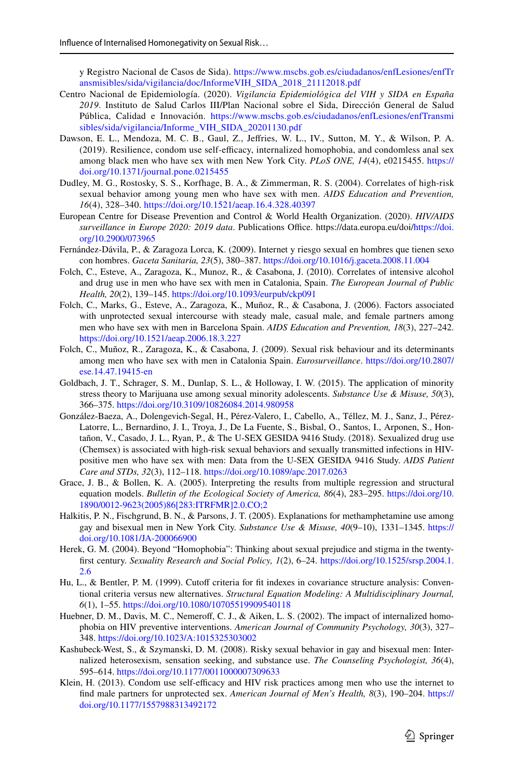y Registro Nacional de Casos de Sida). [https://www.mscbs.gob.es/ciudadanos/enfLesiones/enfTr](https://www.mscbs.gob.es/ciudadanos/enfLesiones/enfTransmisibles/sida/vigilancia/doc/InformeVIH_SIDA_2018_21112018.pdf) [ansmisibles/sida/vigilancia/doc/InformeVIH\\_SIDA\\_2018\\_21112018.pdf](https://www.mscbs.gob.es/ciudadanos/enfLesiones/enfTransmisibles/sida/vigilancia/doc/InformeVIH_SIDA_2018_21112018.pdf)

- <span id="page-16-1"></span>Centro Nacional de Epidemiología. (2020). *Vigilancia Epidemiológica del VIH y SIDA en España 2019*. Instituto de Salud Carlos III/Plan Nacional sobre el Sida, Dirección General de Salud Pública, Calidad e Innovación. [https://www.mscbs.gob.es/ciudadanos/enfLesiones/enfTransmi](https://www.mscbs.gob.es/ciudadanos/enfLesiones/enfTransmisibles/sida/vigilancia/Informe_VIH_SIDA_20201130.pdf) [sibles/sida/vigilancia/Informe\\_VIH\\_SIDA\\_20201130.pdf](https://www.mscbs.gob.es/ciudadanos/enfLesiones/enfTransmisibles/sida/vigilancia/Informe_VIH_SIDA_20201130.pdf)
- <span id="page-16-14"></span>Dawson, E. L., Mendoza, M. C. B., Gaul, Z., Jefries, W. L., IV., Sutton, M. Y., & Wilson, P. A. (2019). Resilience, condom use self-efficacy, internalized homophobia, and condomless anal sex among black men who have sex with men New York City. *PLoS ONE, 14*(4), e0215455. [https://](https://doi.org/10.1371/journal.pone.0215455) [doi.org/10.1371/journal.pone.0215455](https://doi.org/10.1371/journal.pone.0215455)
- <span id="page-16-3"></span>Dudley, M. G., Rostosky, S. S., Korfhage, B. A., & Zimmerman, R. S. (2004). Correlates of high-risk sexual behavior among young men who have sex with men. *AIDS Education and Prevention, 16*(4), 328–340.<https://doi.org/10.1521/aeap.16.4.328.40397>
- <span id="page-16-0"></span>European Centre for Disease Prevention and Control & World Health Organization. (2020). *HIV/AIDS*  surveillance in Europe 2020: 2019 data. Publications Office. https://data.europa.eu/doi/[https://doi.](https://doi.org/10.2900/073965) [org/10.2900/073965](https://doi.org/10.2900/073965)
- <span id="page-16-5"></span>Fernández-Dávila, P., & Zaragoza Lorca, K. (2009). Internet y riesgo sexual en hombres que tienen sexo con hombres. *Gaceta Sanitaria, 23*(5), 380–387.<https://doi.org/10.1016/j.gaceta.2008.11.004>
- <span id="page-16-7"></span>Folch, C., Esteve, A., Zaragoza, K., Munoz, R., & Casabona, J. (2010). Correlates of intensive alcohol and drug use in men who have sex with men in Catalonia, Spain. *The European Journal of Public Health, 20*(2), 139–145.<https://doi.org/10.1093/eurpub/ckp091>
- <span id="page-16-6"></span>Folch, C., Marks, G., Esteve, A., Zaragoza, K., Muñoz, R., & Casabona, J. (2006). Factors associated with unprotected sexual intercourse with steady male, casual male, and female partners among men who have sex with men in Barcelona Spain. *AIDS Education and Prevention, 18*(3), 227–242. <https://doi.org/10.1521/aeap.2006.18.3.227>
- <span id="page-16-13"></span>Folch, C., Muñoz, R., Zaragoza, K., & Casabona, J. (2009). Sexual risk behaviour and its determinants among men who have sex with men in Catalonia Spain. *Eurosurveillance*. [https://doi.org/10.2807/](https://doi.org/10.2807/ese.14.47.19415-en) [ese.14.47.19415-en](https://doi.org/10.2807/ese.14.47.19415-en)
- <span id="page-16-10"></span>Goldbach, J. T., Schrager, S. M., Dunlap, S. L., & Holloway, I. W. (2015). The application of minority stress theory to Marijuana use among sexual minority adolescents. *Substance Use & Misuse, 50*(3), 366–375.<https://doi.org/10.3109/10826084.2014.980958>
- <span id="page-16-8"></span>González-Baeza, A., Dolengevich-Segal, H., Pérez-Valero, I., Cabello, A., Téllez, M. J., Sanz, J., Pérez-Latorre, L., Bernardino, J. I., Troya, J., De La Fuente, S., Bisbal, O., Santos, I., Arponen, S., Hontañon, V., Casado, J. L., Ryan, P., & The U-SEX GESIDA 9416 Study. (2018). Sexualized drug use (Chemsex) is associated with high-risk sexual behaviors and sexually transmitted infections in HIVpositive men who have sex with men: Data from the U-SEX GESIDA 9416 Study. *AIDS Patient Care and STDs, 32*(3), 112–118.<https://doi.org/10.1089/apc.2017.0263>
- <span id="page-16-11"></span>Grace, J. B., & Bollen, K. A. (2005). Interpreting the results from multiple regression and structural equation models. *Bulletin of the Ecological Society of America, 86*(4), 283–295. [https://doi.org/10.](https://doi.org/10.1890/0012-9623(2005)86[283:ITRFMR]2.0.CO;2) [1890/0012-9623\(2005\)86\[283:ITRFMR\]2.0.CO;2](https://doi.org/10.1890/0012-9623(2005)86[283:ITRFMR]2.0.CO;2)
- <span id="page-16-16"></span>Halkitis, P. N., Fischgrund, B. N., & Parsons, J. T. (2005). Explanations for methamphetamine use among gay and bisexual men in New York City. *Substance Use & Misuse, 40*(9–10), 1331–1345. [https://](https://doi.org/10.1081/JA-200066900) [doi.org/10.1081/JA-200066900](https://doi.org/10.1081/JA-200066900)
- <span id="page-16-2"></span>Herek, G. M. (2004). Beyond "Homophobia": Thinking about sexual prejudice and stigma in the twentyfrst century. *Sexuality Research and Social Policy, 1*(2), 6–24. [https://doi.org/10.1525/srsp.2004.1.](https://doi.org/10.1525/srsp.2004.1.2.6) [2.6](https://doi.org/10.1525/srsp.2004.1.2.6)
- <span id="page-16-12"></span>Hu, L., & Bentler, P. M. (1999). Cutoff criteria for fit indexes in covariance structure analysis: Conventional criteria versus new alternatives. *Structural Equation Modeling: A Multidisciplinary Journal, 6*(1), 1–55.<https://doi.org/10.1080/10705519909540118>
- <span id="page-16-9"></span>Huebner, D. M., Davis, M. C., Nemeroff, C. J., & Aiken, L. S. (2002). The impact of internalized homophobia on HIV preventive interventions. *American Journal of Community Psychology, 30*(3), 327– 348.<https://doi.org/10.1023/A:1015325303002>
- <span id="page-16-4"></span>Kashubeck-West, S., & Szymanski, D. M. (2008). Risky sexual behavior in gay and bisexual men: Internalized heterosexism, sensation seeking, and substance use. *The Counseling Psychologist, 36*(4), 595–614.<https://doi.org/10.1177/0011000007309633>
- <span id="page-16-15"></span>Klein, H. (2013). Condom use self-efficacy and HIV risk practices among men who use the internet to fnd male partners for unprotected sex. *American Journal of Men's Health, 8*(3), 190–204. [https://](https://doi.org/10.1177/1557988313492172) [doi.org/10.1177/1557988313492172](https://doi.org/10.1177/1557988313492172)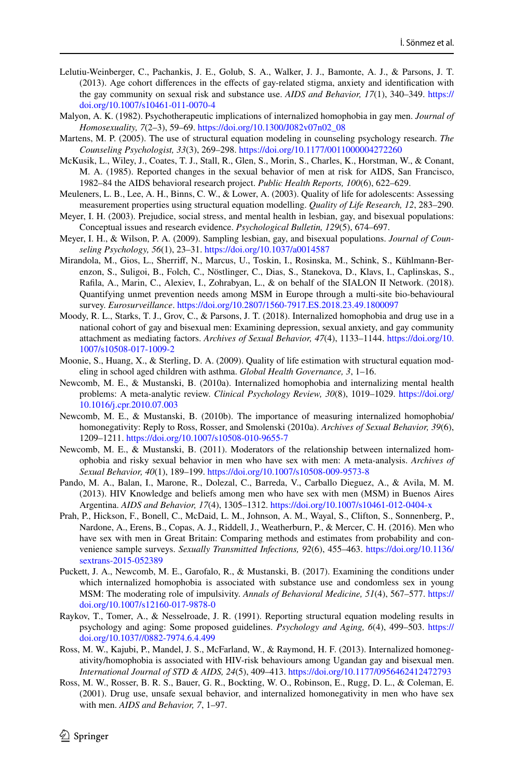- <span id="page-17-7"></span>Lelutiu-Weinberger, C., Pachankis, J. E., Golub, S. A., Walker, J. J., Bamonte, A. J., & Parsons, J. T. (2013). Age cohort diferences in the efects of gay-related stigma, anxiety and identifcation with the gay community on sexual risk and substance use. *AIDS and Behavior, 17*(1), 340–349. [https://](https://doi.org/10.1007/s10461-011-0070-4) [doi.org/10.1007/s10461-011-0070-4](https://doi.org/10.1007/s10461-011-0070-4)
- <span id="page-17-10"></span>Malyon, A. K. (1982). Psychotherapeutic implications of internalized homophobia in gay men. *Journal of Homosexuality, 7*(2–3), 59–69. [https://doi.org/10.1300/J082v07n02\\_08](https://doi.org/10.1300/J082v07n02_08)
- <span id="page-17-12"></span>Martens, M. P. (2005). The use of structural equation modeling in counseling psychology research. *The Counseling Psychologist, 33*(3), 269–298.<https://doi.org/10.1177/0011000004272260>
- <span id="page-17-15"></span>McKusik, L., Wiley, J., Coates, T. J., Stall, R., Glen, S., Morin, S., Charles, K., Horstman, W., & Conant, M. A. (1985). Reported changes in the sexual behavior of men at risk for AIDS, San Francisco, 1982–84 the AIDS behavioral research project. *Public Health Reports, 100*(6), 622–629.
- <span id="page-17-13"></span>Meuleners, L. B., Lee, A. H., Binns, C. W., & Lower, A. (2003). Quality of life for adolescents: Assessing measurement properties using structural equation modelling. *Quality of Life Research, 12*, 283–290.
- <span id="page-17-1"></span>Meyer, I. H. (2003). Prejudice, social stress, and mental health in lesbian, gay, and bisexual populations: Conceptual issues and research evidence. *Psychological Bulletin, 129*(5), 674–697.
- <span id="page-17-18"></span>Meyer, I. H., & Wilson, P. A. (2009). Sampling lesbian, gay, and bisexual populations. *Journal of Counseling Psychology, 56*(1), 23–31.<https://doi.org/10.1037/a0014587>
- <span id="page-17-0"></span>Mirandola, M., Gios, L., Sherrif, N., Marcus, U., Toskin, I., Rosinska, M., Schink, S., Kühlmann-Berenzon, S., Suligoi, B., Folch, C., Nöstlinger, C., Dias, S., Stanekova, D., Klavs, I., Caplinskas, S., Rafla, A., Marin, C., Alexiev, I., Zohrabyan, L., & on behalf of the SIALON II Network. (2018). Quantifying unmet prevention needs among MSM in Europe through a multi-site bio-behavioural survey. *Eurosurveillance*. <https://doi.org/10.2807/1560-7917.ES.2018.23.49.1800097>
- <span id="page-17-8"></span>Moody, R. L., Starks, T. J., Grov, C., & Parsons, J. T. (2018). Internalized homophobia and drug use in a national cohort of gay and bisexual men: Examining depression, sexual anxiety, and gay community attachment as mediating factors. *Archives of Sexual Behavior, 47*(4), 1133–1144. [https://doi.org/10.](https://doi.org/10.1007/s10508-017-1009-2) [1007/s10508-017-1009-2](https://doi.org/10.1007/s10508-017-1009-2)
- <span id="page-17-14"></span>Moonie, S., Huang, X., & Sterling, D. A. (2009). Quality of life estimation with structural equation modeling in school aged children with asthma. *Global Health Governance, 3*, 1–16.
- <span id="page-17-2"></span>Newcomb, M. E., & Mustanski, B. (2010a). Internalized homophobia and internalizing mental health problems: A meta-analytic review. *Clinical Psychology Review, 30*(8), 1019–1029. [https://doi.org/](https://doi.org/10.1016/j.cpr.2010.07.003) [10.1016/j.cpr.2010.07.003](https://doi.org/10.1016/j.cpr.2010.07.003)
- <span id="page-17-5"></span>Newcomb, M. E., & Mustanski, B. (2010b). The importance of measuring internalized homophobia/ homonegativity: Reply to Ross, Rosser, and Smolenski (2010a). *Archives of Sexual Behavior, 39*(6), 1209–1211.<https://doi.org/10.1007/s10508-010-9655-7>
- <span id="page-17-9"></span>Newcomb, M. E., & Mustanski, B. (2011). Moderators of the relationship between internalized homophobia and risky sexual behavior in men who have sex with men: A meta-analysis. *Archives of Sexual Behavior, 40*(1), 189–199.<https://doi.org/10.1007/s10508-009-9573-8>
- <span id="page-17-16"></span>Pando, M. A., Balan, I., Marone, R., Dolezal, C., Barreda, V., Carballo Dieguez, A., & Avila, M. M. (2013). HIV Knowledge and beliefs among men who have sex with men (MSM) in Buenos Aires Argentina. *AIDS and Behavior, 17*(4), 1305–1312.<https://doi.org/10.1007/s10461-012-0404-x>
- <span id="page-17-17"></span>Prah, P., Hickson, F., Bonell, C., McDaid, L. M., Johnson, A. M., Wayal, S., Clifton, S., Sonnenberg, P., Nardone, A., Erens, B., Copas, A. J., Riddell, J., Weatherburn, P., & Mercer, C. H. (2016). Men who have sex with men in Great Britain: Comparing methods and estimates from probability and convenience sample surveys. *Sexually Transmitted Infections, 92*(6), 455–463. [https://doi.org/10.1136/](https://doi.org/10.1136/sextrans-2015-052389) [sextrans-2015-052389](https://doi.org/10.1136/sextrans-2015-052389)
- <span id="page-17-3"></span>Puckett, J. A., Newcomb, M. E., Garofalo, R., & Mustanski, B. (2017). Examining the conditions under which internalized homophobia is associated with substance use and condomless sex in young MSM: The moderating role of impulsivity. *Annals of Behavioral Medicine, 51*(4), 567–577. [https://](https://doi.org/10.1007/s12160-017-9878-0) [doi.org/10.1007/s12160-017-9878-0](https://doi.org/10.1007/s12160-017-9878-0)
- <span id="page-17-11"></span>Raykov, T., Tomer, A., & Nesselroade, J. R. (1991). Reporting structural equation modeling results in psychology and aging: Some proposed guidelines. *Psychology and Aging, 6*(4), 499–503. [https://](https://doi.org/10.1037//0882-7974.6.4.499) [doi.org/10.1037//0882-7974.6.4.499](https://doi.org/10.1037//0882-7974.6.4.499)
- <span id="page-17-4"></span>Ross, M. W., Kajubi, P., Mandel, J. S., McFarland, W., & Raymond, H. F. (2013). Internalized homonegativity/homophobia is associated with HIV-risk behaviours among Ugandan gay and bisexual men. *International Journal of STD & AIDS, 24*(5), 409–413. <https://doi.org/10.1177/0956462412472793>
- <span id="page-17-6"></span>Ross, M. W., Rosser, B. R. S., Bauer, G. R., Bockting, W. O., Robinson, E., Rugg, D. L., & Coleman, E. (2001). Drug use, unsafe sexual behavior, and internalized homonegativity in men who have sex with men. *AIDS and Behavior, 7*, 1–97.